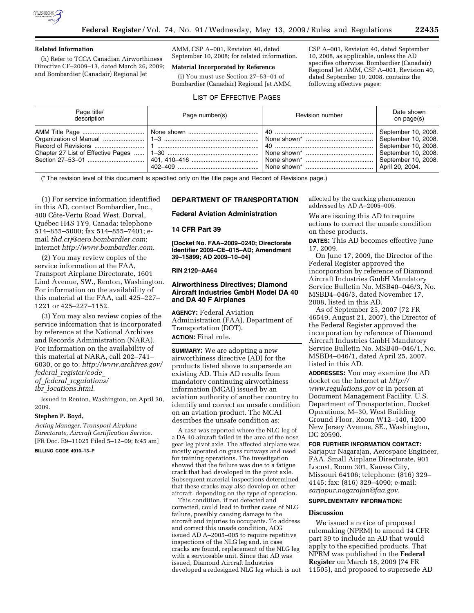

#### **Related Information**

(h) Refer to TCCA Canadian Airworthiness Directive CF–2009–13, dated March 26, 2009; and Bombardier (Canadair) Regional Jet

AMM, CSP A–001, Revision 40, dated September 10, 2008; for related information.

## **Material Incorporated by Reference**

(i) You must use Section 27–53–01 of Bombardier (Canadair) Regional Jet AMM, CSP A–001, Revision 40, dated September 10, 2008, as applicable, unless the AD specifies otherwise. Bombardier (Canadair) Regional Jet AMM, CSP A–001, Revision 40, dated September 10, 2008, contains the following effective pages:

# LIST OF EFFECTIVE PAGES

| Page title/<br>description | Page number(s) | Revision number | Date shown<br>on page(s) |
|----------------------------|----------------|-----------------|--------------------------|
|                            |                |                 | September 10, 2008.      |

(\* The revision level of this document is specified only on the title page and Record of Revisions page.)

(1) For service information identified in this AD, contact Bombardier, Inc., 400 Côte-Vertu Road West, Dorval, Québec H4S 1Y9, Canada; telephone 514–855–5000; fax 514–855–7401; email *thd.crj@aero.bombardier.com*; Internet *http://www.bombardier.com.* 

(2) You may review copies of the service information at the FAA, Transport Airplane Directorate, 1601 Lind Avenue, SW., Renton, Washington. For information on the availability of this material at the FAA, call 425–227– 1221 or 425–227–1152.

(3) You may also review copies of the service information that is incorporated by reference at the National Archives and Records Administration (NARA). For information on the availability of this material at NARA, call 202–741– 6030, or go to: *http://www.archives.gov/ federal*\_*register/code*\_ *of*\_*federal*\_*regulations/ ibr*\_*locations.html.* 

Issued in Renton, Washington, on April 30, 2009.

### **Stephen P. Boyd,**

*Acting Manager, Transport Airplane Directorate, Aircraft Certification Service.*  [FR Doc. E9–11025 Filed 5–12–09; 8:45 am] **BILLING CODE 4910–13–P** 

# **DEPARTMENT OF TRANSPORTATION**

**Federal Aviation Administration** 

## **14 CFR Part 39**

**[Docket No. FAA–2009–0240; Directorate Identifier 2009–CE–015–AD; Amendment 39–15899; AD 2009–10–04]** 

### **RIN 2120–AA64**

## **Airworthiness Directives; Diamond Aircraft Industries GmbH Model DA 40 and DA 40 F Airplanes**

**AGENCY:** Federal Aviation Administration (FAA), Department of Transportation (DOT).

# **ACTION:** Final rule.

**SUMMARY:** We are adopting a new airworthiness directive (AD) for the products listed above to supersede an existing AD. This AD results from mandatory continuing airworthiness information (MCAI) issued by an aviation authority of another country to identify and correct an unsafe condition on an aviation product. The MCAI describes the unsafe condition as:

A case was reported where the NLG leg of a DA 40 aircraft failed in the area of the nose gear leg pivot axle. The affected airplane was mostly operated on grass runways and used for training operations. The investigation showed that the failure was due to a fatigue crack that had developed in the pivot axle. Subsequent material inspections determined that these cracks may also develop on other aircraft, depending on the type of operation.

This condition, if not detected and corrected, could lead to further cases of NLG failure, possibly causing damage to the aircraft and injuries to occupants. To address and correct this unsafe condition, ACG issued AD A–2005–005 to require repetitive inspections of the NLG leg and, in case cracks are found, replacement of the NLG leg with a serviceable unit. Since that AD was issued, Diamond Aircraft Industries developed a redesigned NLG leg which is not affected by the cracking phenomenon addressed by AD A–2005–005.

We are issuing this AD to require actions to correct the unsafe condition on these products.

**DATES:** This AD becomes effective June 17, 2009.

On June 17, 2009, the Director of the Federal Register approved the incorporation by reference of Diamond Aircraft Industries GmbH Mandatory Service Bulletin No. MSB40–046/3, No. MSBD4–046/3, dated November 17, 2008, listed in this AD.

As of September 25, 2007 (72 FR 46549, August 21, 2007), the Director of the Federal Register approved the incorporation by reference of Diamond Aircraft Industries GmbH Mandatory Service Bulletin No. MSB40–046/1, No. MSBD4–046/1, dated April 25, 2007, listed in this AD.

**ADDRESSES:** You may examine the AD docket on the Internet at *http:// www.regulations.gov* or in person at Document Management Facility, U.S. Department of Transportation, Docket Operations, M–30, West Building Ground Floor, Room W12–140, 1200 New Jersey Avenue, SE., Washington, DC 20590.

#### **FOR FURTHER INFORMATION CONTACT:**

Sarjapur Nagarajan, Aerospace Engineer, FAA, Small Airplane Directorate, 901 Locust, Room 301, Kansas City, Missouri 64106; telephone: (816) 329– 4145; fax: (816) 329–4090; e-mail: *sarjapur.nagarajan@faa.gov.* 

#### **SUPPLEMENTARY INFORMATION:**

#### **Discussion**

We issued a notice of proposed rulemaking (NPRM) to amend 14 CFR part 39 to include an AD that would apply to the specified products. That NPRM was published in the **Federal Register** on March 18, 2009 (74 FR 11505), and proposed to supersede AD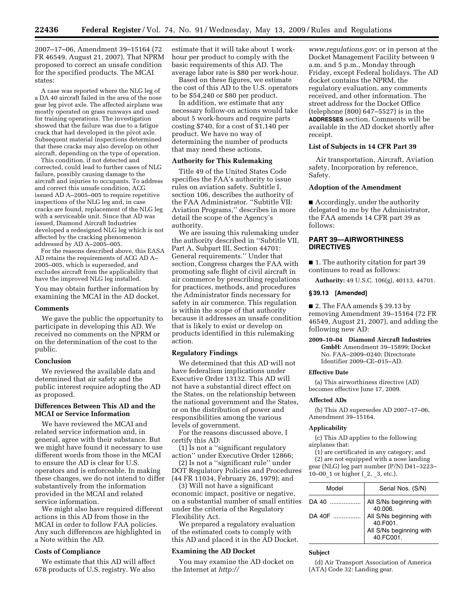2007–17–06, Amendment 39–15164 (72 FR 46549, August 21, 2007). That NPRM proposed to correct an unsafe condition for the specified products. The MCAI states:

A case was reported where the NLG leg of a DA 40 aircraft failed in the area of the nose gear leg pivot axle. The affected airplane was mostly operated on grass runways and used for training operations. The investigation showed that the failure was due to a fatigue crack that had developed in the pivot axle. Subsequent material inspections determined that these cracks may also develop on other aircraft, depending on the type of operation.

This condition, if not detected and corrected, could lead to further cases of NLG failure, possibly causing damage to the aircraft and injuries to occupants. To address and correct this unsafe condition, ACG issued AD A–2005–005 to require repetitive inspections of the NLG leg and, in case cracks are found, replacement of the NLG leg with a serviceable unit. Since that AD was issued, Diamond Aircraft Industries developed a redesigned NLG leg which is not affected by the cracking phenomenon addressed by AD A–2005–005.

For the reasons described above, this EASA AD retains the requirements of ACG AD A– 2005–005, which is superseded, and excludes aircraft from the applicability that have the improved NLG leg installed.

You may obtain further information by examining the MCAI in the AD docket.

#### **Comments**

We gave the public the opportunity to participate in developing this AD. We received no comments on the NPRM or on the determination of the cost to the public.

#### **Conclusion**

We reviewed the available data and determined that air safety and the public interest require adopting the AD as proposed.

## **Differences Between This AD and the MCAI or Service Information**

We have reviewed the MCAI and related service information and, in general, agree with their substance. But we might have found it necessary to use different words from those in the MCAI to ensure the AD is clear for U.S. operators and is enforceable. In making these changes, we do not intend to differ substantively from the information provided in the MCAI and related service information.

We might also have required different actions in this AD from those in the MCAI in order to follow FAA policies. Any such differences are highlighted in a Note within the AD.

## **Costs of Compliance**

We estimate that this AD will affect 678 products of U.S. registry. We also

estimate that it will take about 1 workhour per product to comply with the basic requirements of this AD. The average labor rate is \$80 per work-hour.

Based on these figures, we estimate the cost of this AD to the U.S. operators to be \$54,240 or \$80 per product.

In addition, we estimate that any necessary follow-on actions would take about 5 work-hours and require parts costing \$740, for a cost of \$1,140 per product. We have no way of determining the number of products that may need these actions.

### **Authority for This Rulemaking**

Title 49 of the United States Code specifies the FAA's authority to issue rules on aviation safety. Subtitle I, section 106, describes the authority of the FAA Administrator. ''Subtitle VII: Aviation Programs,'' describes in more detail the scope of the Agency's authority.

We are issuing this rulemaking under the authority described in ''Subtitle VII, Part A, Subpart III, Section 44701: General requirements.'' Under that section, Congress charges the FAA with promoting safe flight of civil aircraft in air commerce by prescribing regulations for practices, methods, and procedures the Administrator finds necessary for safety in air commerce. This regulation is within the scope of that authority because it addresses an unsafe condition that is likely to exist or develop on products identified in this rulemaking action.

### **Regulatory Findings**

We determined that this AD will not have federalism implications under Executive Order 13132. This AD will not have a substantial direct effect on the States, on the relationship between the national government and the States, or on the distribution of power and responsibilities among the various levels of government.

For the reasons discussed above, I certify this AD:

(1) Is not a ''significant regulatory action'' under Executive Order 12866;

(2) Is not a ''significant rule'' under DOT Regulatory Policies and Procedures (44 FR 11034, February 26, 1979); and

(3) Will not have a significant economic impact, positive or negative, on a substantial number of small entities under the criteria of the Regulatory Flexibility Act.

We prepared a regulatory evaluation of the estimated costs to comply with this AD and placed it in the AD Docket.

### **Examining the AD Docket**

You may examine the AD docket on the Internet at *http://* 

*www.regulations.gov*; or in person at the Docket Management Facility between 9 a.m. and 5 p.m., Monday through Friday, except Federal holidays. The AD docket contains the NPRM, the regulatory evaluation, any comments received, and other information. The street address for the Docket Office (telephone (800) 647–5527) is in the **ADDRESSES** section. Comments will be available in the AD docket shortly after receipt.

### **List of Subjects in 14 CFR Part 39**

Air transportation, Aircraft, Aviation safety, Incorporation by reference, Safety.

### **Adoption of the Amendment**

■ Accordingly, under the authority delegated to me by the Administrator, the FAA amends 14 CFR part 39 as follows:

## **PART 39—AIRWORTHINESS DIRECTIVES**

■ 1. The authority citation for part 39 continues to read as follows:

**Authority:** 49 U.S.C. 106(g), 40113, 44701.

#### **§ 39.13 [Amended]**

■ 2. The FAA amends § 39.13 by

removing Amendment 39–15164 (72 FR 46549, August 21, 2007), and adding the following new AD:

**2009–10–04 Diamond Aircraft Industries GmbH:** Amendment 39–15899; Docket No. FAA–2009–0240; Directorate Identifier 2009–CE–015–AD.

#### **Effective Date**

(a) This airworthiness directive (AD) becomes effective June 17, 2009.

#### **Affected ADs**

(b) This AD supersedes AD 2007–17–06, Amendment 39–15164.

#### **Applicability**

(c) This AD applies to the following airplanes that:

(1) are certificated in any category; and (2) are not equipped with a nose landing gear (NLG) leg part number (P/N) D41–3223– 10–00\_1 or higher (\_2, \_3, etc.).

| Model  | Serial Nos. (S/N)                                                           |
|--------|-----------------------------------------------------------------------------|
| DA 40  | All S/Ns beginning with<br>40.006.                                          |
| DA 40F | All S/Ns beginning with<br>40.F001.<br>All S/Ns beginning with<br>40.FC001. |

#### **Subject**

(d) Air Transport Association of America (ATA) Code 32: Landing gear.